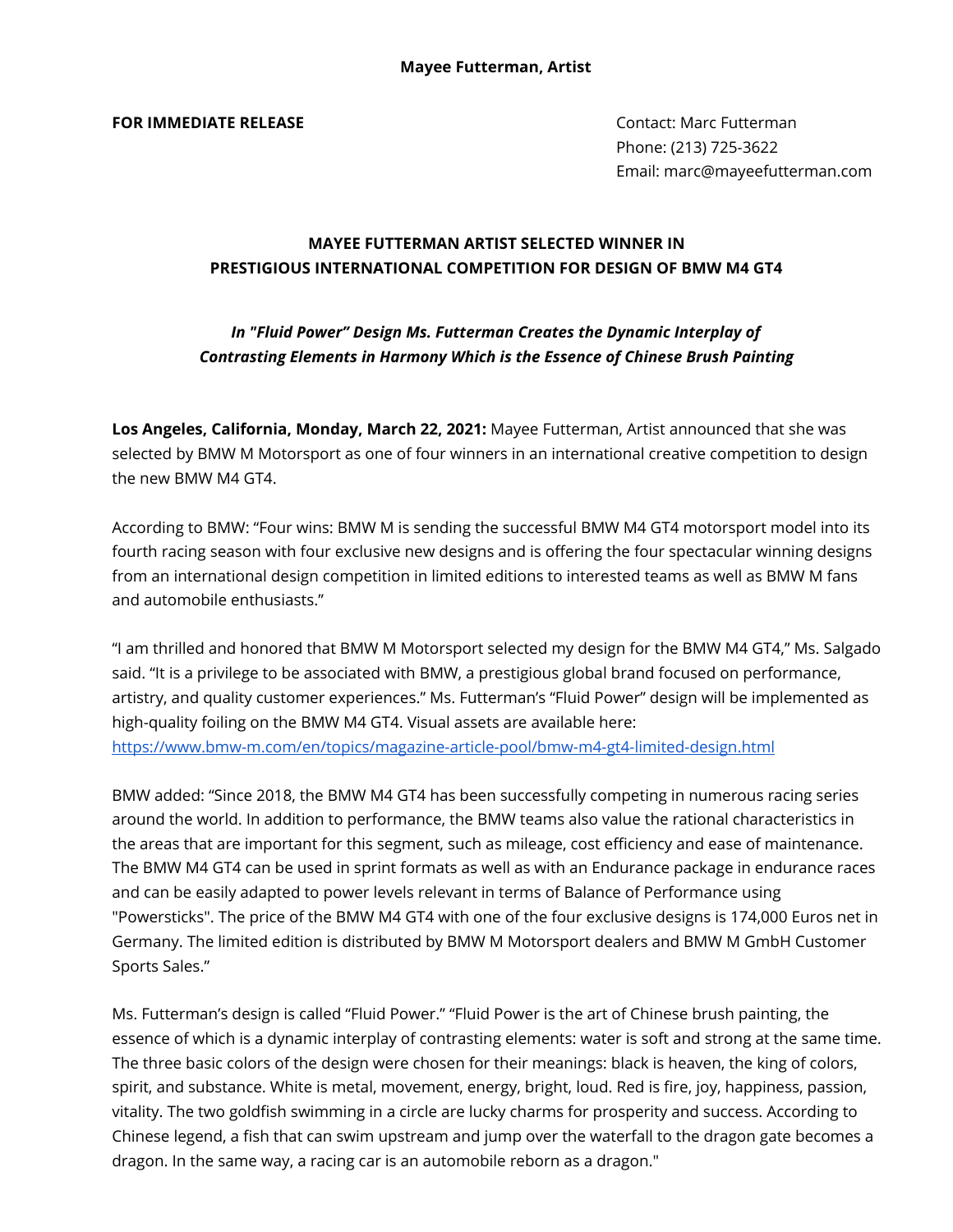**FOR IMMEDIATE RELEASE CONTACT CONTACT: Marc Futterman** 

Phone: (213) 725-3622 Email: marc@mayeefutterman.com

## **MAYEE FUTTERMAN ARTIST SELECTED WINNER IN PRESTIGIOUS INTERNATIONAL COMPETITION FOR DESIGN OF BMW M4 GT4**

# *In "Fluid Power" Design Ms. Futterman Creates the Dynamic Interplay of Contrasting Elements in Harmony Which is the Essence of Chinese Brush Painting*

**Los Angeles, California, Monday, March 22, 2021:** Mayee Futterman, Artist announced that she was selected by BMW M Motorsport as one of four winners in an international creative competition to design the new BMW M4 GT4.

According to BMW: "Four wins: BMW M is sending the successful BMW M4 GT4 motorsport model into its fourth racing season with four exclusive new designs and is offering the four spectacular winning designs from an international design competition in limited editions to interested teams as well as BMW M fans and automobile enthusiasts."

"I am thrilled and honored that BMW M Motorsport selected my design for the BMW M4 GT4," Ms. Salgado said. "It is a privilege to be associated with BMW, a prestigious global brand focused on performance, artistry, and quality customer experiences." Ms. Futterman's "Fluid Power" design will be implemented as high-quality foiling on the BMW M4 GT4. Visual assets are available here: <https://www.bmw-m.com/en/topics/magazine-article-pool/bmw-m4-gt4-limited-design.html>

BMW added: "Since 2018, the BMW M4 GT4 has been successfully competing in numerous racing series around the world. In addition to performance, the BMW teams also value the rational characteristics in the areas that are important for this segment, such as mileage, cost efficiency and ease of maintenance. The BMW M4 GT4 can be used in sprint formats as well as with an Endurance package in endurance races and can be easily adapted to power levels relevant in terms of Balance of Performance using "Powersticks". The price of the BMW M4 GT4 with one of the four exclusive designs is 174,000 Euros net in Germany. The limited edition is distributed by BMW M Motorsport dealers and BMW M GmbH Customer Sports Sales."

Ms. Futterman's design is called "Fluid Power." "Fluid Power is the art of Chinese brush painting, the essence of which is a dynamic interplay of contrasting elements: water is soft and strong at the same time. The three basic colors of the design were chosen for their meanings: black is heaven, the king of colors, spirit, and substance. White is metal, movement, energy, bright, loud. Red is fire, joy, happiness, passion, vitality. The two goldfish swimming in a circle are lucky charms for prosperity and success. According to Chinese legend, a fish that can swim upstream and jump over the waterfall to the dragon gate becomes a dragon. In the same way, a racing car is an automobile reborn as a dragon."